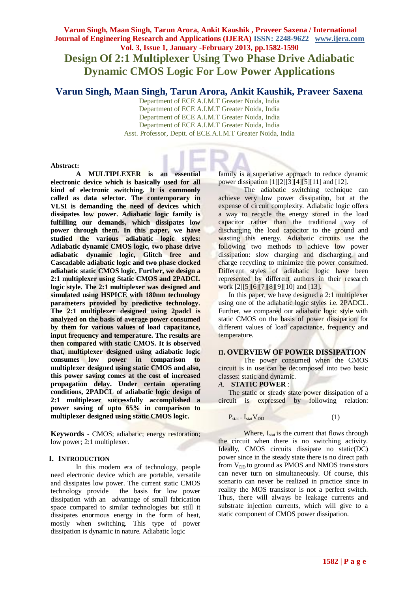# **Varun Singh, Maan Singh, Tarun Arora, Ankit Kaushik , Praveer Saxena / International Journal of Engineering Research and Applications (IJERA) ISSN: 2248-9622 www.ijera.com Vol. 3, Issue 1, January -February 2013, pp.1582-1590 Design Of 2:1 Multiplexer Using Two Phase Drive Adiabatic**

**Dynamic CMOS Logic For Low Power Applications**

# **Varun Singh, Maan Singh, Tarun Arora, Ankit Kaushik, Praveer Saxena**

Department of ECE A.I.M.T Greater Noida, India Department of ECE A.I.M.T Greater Noida, India Department of ECE A.I.M.T Greater Noida, India Department of ECE A.I.M.T Greater Noida, India Asst. Professor, Deptt. of ECE.A.I.M.T Greater Noida, India

## **Abstract:**

**A MULTIPLEXER is an essential electronic device which is basically used for all kind of electronic switching. It is commonly called as data selector. The contemporary in VLSI is demanding the need of devices which dissipates low power. Adiabatic logic family is fulfilling our demands, which dissipates low power through them. In this paper, we have studied the various adiabatic logic styles: Adiabatic dynamic CMOS logic, two phase drive adiabatic dynamic logic, Glitch free and Cascadable adiabatic logic and two phase clocked adiabatic static CMOS logic. Further, we design a 2:1 multiplexer using Static CMOS and 2PADCL logic style. The 2:1 multiplexer was designed and simulated using HSPICE with 180nm technology parameters provided by predictive technology. The 2:1 multiplexer designed using 2padcl is analyzed on the basis of average power consumed by them for various values of load capacitance, input frequency and temperature. The results are then compared with static CMOS. It is observed that, multiplexer designed using adiabatic logic consumes low power in comparison to multiplexer designed using static CMOS and also, this power saving comes at the cost of increased propagation delay. Under certain operating conditions, 2PADCL of adiabatic logic design of 2:1 multiplexer successfully accomplished a power saving of upto 65% in comparison to multiplexer designed using static CMOS logic.**

**Keywords** - CMOS; adiabatic; energy restoration; low power; 2:1 multiplexer.

## **I. INTRODUCTION**

In this modern era of technology, people need electronic device which are portable, versatile and dissipates low power. The current static CMOS technology provide the basis for low power dissipation with an advantage of small fabrication space compared to similar technologies but still it dissipates enormous energy in the form of heat, mostly when switching. This type of power dissipation is dynamic in nature. Adiabatic logic

family is a superlative approach to reduce dynamic power dissipation [1][2][3][4][5][11] and [12].

The adiabatic switching technique can achieve very low power dissipation, but at the expense of circuit complexity. Adiabatic logic offers a way to recycle the energy stored in the load capacitor rather than the traditional way of discharging the load capacitor to the ground and wasting this energy. Adiabatic circuits use the following two methods to achieve low power dissipation: slow charging and discharging, and charge recycling to minimize the power consumed. Different styles of adiabatic logic have been represented by different authors in their research work [2][5][6][7][8][9][10] and [13].

In this paper, we have designed a 2:1 multiplexer using one of the adiabatic logic styles i.e. 2PADCL. Further, we compared our adiabatic logic style with static CMOS on the basis of power dissipation for different values of load capacitance, frequency and temperature.

# **II. OVERVIEW OF POWER DISSIPATION**

The power consumed when the CMOS circuit is in use can be decomposed into two basic classes: static and dynamic.

### *A.* **STATIC POWER** *:*

The static or steady state power dissipation of a circuit is expressed by following relation:

$$
P_{stat} = I_{stat}V_{DD}
$$
 (1)

Where,  $I_{stat}$  is the current that flows through the circuit when there is no switching activity. Ideally, CMOS circuits dissipate no static(DC) power since in the steady state there is no direct path from  $V_{DD}$  to ground as PMOS and NMOS transistors can never turn on simultaneously. Of course, this scenario can never be realized in practice since in reality the MOS transistor is not a perfect switch. Thus, there will always be leakage currents and substrate injection currents, which will give to a static component of CMOS power dissipation.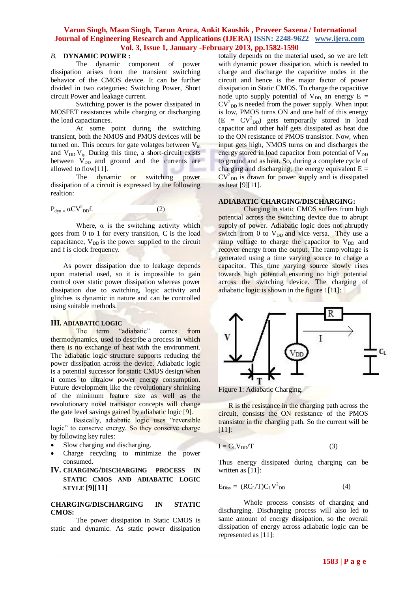#### *B.* **DYNAMIC POWER :**

The dynamic component of power dissipation arises from the transient switching behavior of the CMOS device. It can be further divided in two categories: Switching Power, Short circuit Power and leakage current.

Switching power is the power dissipated in MOSFET resistances while charging or discharging the load capacitances.

At some point during the switching transient, both the NMOS and PMOS devices will be turned on. This occurs for gate volatges between  $V_{tn}$ and  $V_{DD}$ ,  $V_{tp}$ . During this time, a short-circuit exists between  $V_{DD}$  and ground and the currents are allowed to flow[11].

The dynamic or switching power dissipation of a circuit is expressed by the following realtion:

$$
P_{dyn} = \alpha CV_{DD}^2 f.
$$

$$
p_{\rm DD}f. \tag{2}
$$

Where,  $\alpha$  is the switching activity which goes from 0 to 1 for every transition, C is the load capacitance,  $V_{DD}$  is the power supplied to the circuit and f is clock frequency.

As power dissipation due to leakage depends upon material used, so it is impossible to gain control over static power dissipation whereas power dissipation due to switching, logic activity and glitches is dynamic in nature and can be controlled using suitable methods.

#### **III. ADIABATIC LOGIC**

The term "adiabatic" comes from thermodynamics, used to describe a process in which there is no exchange of heat with the environment. The adiabatic logic structure supports reducing the power dissipation across the device. Adiabatic logic is a potential successor for static CMOS design when it comes to ultralow power energy consumption. Future development like the revolutionary shrinking of the minimum feature size as well as the revolutionary novel transistor concepts will change the gate level savings gained by adiabatic logic [9].

Basically, adiabatic logic uses "reversible logic" to conserve energy. So they conserve charge by following key rules:

- Slow charging and discharging.
- Charge recycling to minimize the power consumed.

# **IV. CHARGING/DISCHARGING PROCESS IN STATIC CMOS AND ADIABATIC LOGIC STYLE [9][11]**

#### **CHARGING/DISCHARGING IN STATIC CMOS:**

The power dissipation in Static CMOS is static and dynamic. As static power dissipation totally depends on the material used, so we are left with dynamic power dissipation, which is needed to charge and discharge the capacitive nodes in the circuit and hence is the major factor of power dissipation in Static CMOS. To charge the capacitive node upto supply potential of  $V_{DD}$  an energy  $E =$  $CV<sup>2</sup><sub>DD</sub>$  is needed from the power supply. When input is low, PMOS turns ON and one half of this energy  $(E = CV<sup>2</sup><sub>DD</sub>)$  gets temporarily stored in load capacitor and other half gets dissipated as heat due to the ON resistance of PMOS transistor. Now, when input gets high, NMOS turns on and discharges the energy stored in load capacitor from potential of  $V_{DD}$ to ground and as heat. So, during a complete cycle of charging and discharging, the energy equivalent  $E =$  $CV<sup>2</sup><sub>DD</sub>$  is drawn for power supply and is dissipated as heat [9][11].

#### **ADIABATIC CHARGING/DISCHARGING:**

Charging in static CMOS suffers from high potential across the switching device due to abrupt supply of power. Adiabatic logic does not abruptly switch from 0 to  $V_{DD}$  and vice versa. They use a ramp voltage to charge the capacitor to  $V_{DD}$  and recover energy from the output. The ramp voltage is generated using a time varying source to charge a capacitor. This time varying source slowly rises towards high potential ensuring no high potential across the switching device. The charging of adiabatic logic is shown in the figure 1[11]:



Figure 1: Adiabatic Charging.

R is the resistance in the charging path across the circuit, consists the ON resistance of the PMOS transistor in the charging path. So the current will be [11]:

$$
I = C_L V_{DD}/T
$$
 (3)

Thus energy dissipated during charging can be written as [11]:

$$
E_{\text{Diss}} = (RC_{L}/T)C_{L}V_{\text{DD}}^{2}
$$
 (4)

Whole process consists of charging and discharging. Discharging process will also led to same amount of energy dissipation, so the overall dissipation of energy across adiabatic logic can be represented as [11]: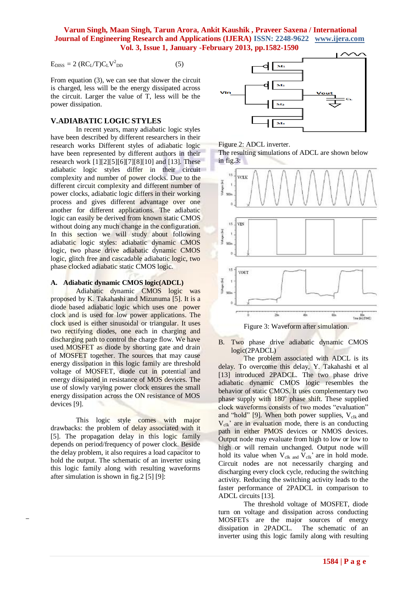$$
E_{\rm DISS} = 2 (RCL/T)CLV2DD
$$
 (5)

From equation (3), we can see that slower the circuit is charged, less will be the energy dissipated across the circuit. Larger the value of T, less will be the power dissipation.

# **V.ADIABATIC LOGIC STYLES**

In recent years, many adiabatic logic styles have been described by different researchers in their research works Different styles of adiabatic logic have been represented by different authors in their research work [1][2][5][6][7][8][10] and [13]. These adiabatic logic styles differ in their circuit complexity and number of power clocks. Due to the different circuit complexity and different number of power clocks, adiabatic logic differs in their working process and gives different advantage over one another for different applications. The adiabatic logic can easily be derived from known static CMOS without doing any much change in the configuration. In this section we will study about following adiabatic logic styles: adiabatic dynamic CMOS logic, two phase drive adiabatic dynamic CMOS logic, glitch free and cascadable adiabatic logic, two phase clocked adiabatic static CMOS logic.

#### **A. Adiabatic dynamic CMOS logic(ADCL)**

Adiabatic dynamic CMOS logic was proposed by K. Takahashi and Mizunuma [5]. It is a diode based adiabatic logic which uses one power clock and is used for low power applications. The clock used is either sinusoidal or triangular. It uses two rectifying diodes, one each in charging and discharging path to control the charge flow. We have used MOSFET as diode by shorting gate and drain of MOSFET together. The sources that may cause energy dissipation in this logic family are threshold voltage of MOSFET, diode cut in potential and energy dissipated in resistance of MOS devices. The use of slowly varying power clock ensures the small energy dissipation across the ON resistance of MOS devices [9].

This logic style comes with major drawbacks: the problem of delay associated with it [5]. The propagation delay in this logic family depends on period/frequency of power clock. Beside the delay problem, it also requires a load capacitor to hold the output. The schematic of an inverter using this logic family along with resulting waveforms after simulation is shown in fig.2 [5] [9]:



Figure 2: ADCL inverter.

The resulting simulations of ADCL are shown below in fig.3:



Figure 3: Waveform after simulation.

B. Two phase drive adiabatic dynamic CMOS logic(2PADCL)

The problem associated with ADCL is its delay. To overcome this delay, Y. Takahashi et al [13] introduced 2PADCL. The two phase drive adiabatic dynamic CMOS logic resembles the behavior of static CMOS. It uses complementary two phase supply with 180° phase shift. These supplied clock waveforms consists of two modes "evaluation" and "hold" [9]. When both power supplies,  $V_{c1k}$  and  $V_{\rm clk}$ ' are in evaluation mode, there is an conducting path in either PMOS devices or NMOS devices. Output node may evaluate from high to low or low to high or will remain unchanged. Output node will hold its value when  $V_{clk}$  and  $V_{clk}$ ' are in hold mode. Circuit nodes are not necessarily charging and discharging every clock cycle, reducing the switching activity. Reducing the switching activity leads to the faster performance of 2PADCL in comparison to ADCL circuits [13].

The threshold voltage of MOSFET, diode turn on voltage and dissipation across conducting MOSFETs are the major sources of energy dissipation in 2PADCL. The schematic of an inverter using this logic family along with resulting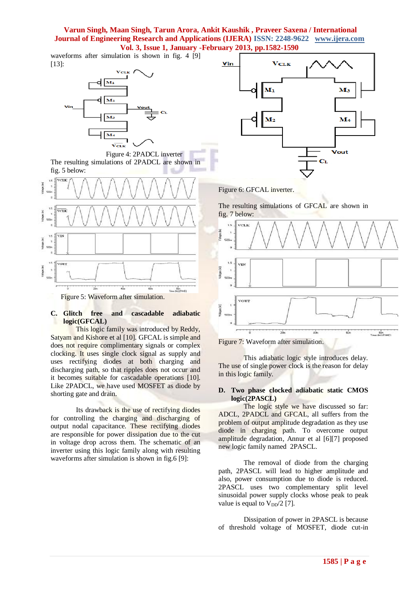waveforms after simulation is shown in fig. 4 [9] [13]:







#### **C. Glitch free and cascadable adiabatic logic(GFCAL)**

This logic family was introduced by Reddy, Satyam and Kishore et al [10]. GFCAL is simple and does not require complimentary signals or complex clocking. It uses single clock signal as supply and uses rectifying diodes at both charging and discharging path, so that ripples does not occur and it becomes suitable for cascadable operations [10]. Like 2PADCL, we have used MOSFET as diode by shorting gate and drain.

Its drawback is the use of rectifying diodes for controlling the charging and discharging of output nodal capacitance. These rectifying diodes are responsible for power dissipation due to the cut in voltage drop across them. The schematic of an inverter using this logic family along with resulting waveforms after simulation is shown in fig.6 [9]:



Figure 6: GFCAL inverter.

The resulting simulations of GFCAL are shown in fig. 7 below:





This adiabatic logic style introduces delay. The use of single power clock is the reason for delay in this logic family.

#### **D. Two phase clocked adiabatic static CMOS logic(2PASCL)**

The logic style we have discussed so far: ADCL, 2PADCL and GFCAL, all suffers from the problem of output amplitude degradation as they use diode in charging path. To overcome output amplitude degradation, Annur et al [6][7] proposed new logic family named 2PASCL.

The removal of diode from the charging path, 2PASCL will lead to higher amplitude and also, power consumption due to diode is reduced. 2PASCL uses two complementary split level sinusoidal power supply clocks whose peak to peak value is equal to  $V_{DD}/2$  [7].

Dissipation of power in 2PASCL is because of threshold voltage of MOSFET, diode cut-in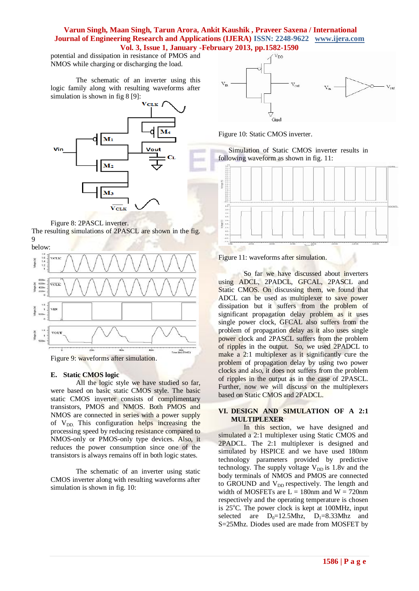potential and dissipation in resistance of PMOS and NMOS while charging or discharging the load.

The schematic of an inverter using this logic family along with resulting waveforms after simulation is shown in fig 8 [9]:



Figure 8: 2PASCL inverter.

The resulting simulations of 2PASCL are shown in the fig. 9



## **E. Static CMOS logic**

All the logic style we have studied so far, were based on basic static CMOS style. The basic static CMOS inverter consists of complimentary transistors, PMOS and NMOS. Both PMOS and NMOS are connected in series with a power supply of  $V_{DD}$ . This configuration helps increasing the processing speed by reducing resistance compared to NMOS-only or PMOS-only type devices. Also, it reduces the power consumption since one of the transistors is always remains off in both logic states.

The schematic of an inverter using static CMOS inverter along with resulting waveforms after simulation is shown in fig. 10:



Figure 10: Static CMOS inverter.

Simulation of Static CMOS inverter results in following waveform as shown in fig. 11:



Figure 11: waveforms after simulation.

So far we have discussed about inverters using ADCL, 2PADCL, GFCAL, 2PASCL and Static CMOS. On discussing them, we found that ADCL can be used as multiplexer to save power dissipation but it suffers from the problem of significant propagation delay problem as it uses single power clock, GFCAL also suffers from the problem of propagation delay as it also uses single power clock and 2PASCL suffers from the problem of ripples in the output. So, we used 2PADCL to make a 2:1 multiplexer as it significantly cure the problem of propagation delay by using two power clocks and also, it does not suffers from the problem of ripples in the output as in the case of 2PASCL. Further, now we will discuss on the multiplexers based on Static CMOS and 2PADCL.

## **VI. DESIGN AND SIMULATION OF A 2:1 MULTIPLEXER**

In this section, we have designed and simulated a 2:1 multiplexer using Static CMOS and 2PADCL. The 2:1 multiplexer is designed and simulated by HSPICE and we have used 180nm technology parameters provided by predictive technology. The supply voltage  $V_{DD}$  is 1.8v and the body terminals of NMOS and PMOS are connected to GROUND and  $V_{DD}$  respectively. The length and width of MOSFETs are  $L = 180$ nm and  $W = 720$ nm respectively and the operating temperature is chosen is  $25^{\circ}$ C. The power clock is kept at 100MHz, input selected are  $D_0=12.5$ Mhz,  $D_1=8.33$ Mhz and S=25Mhz. Diodes used are made from MOSFET by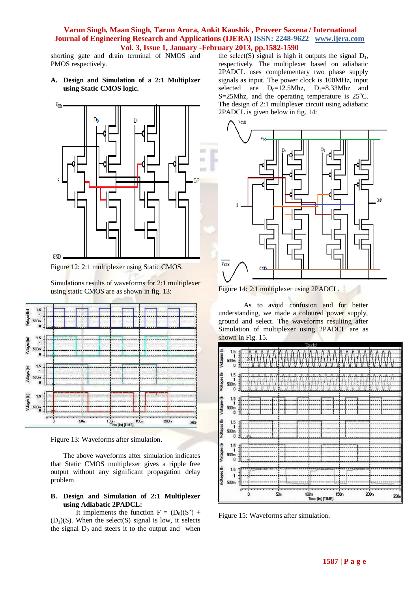shorting gate and drain terminal of NMOS and PMOS respectively.

**A. Design and Simulation of a 2:1 Multiplxer using Static CMOS logic.**



Figure 12: 2:1 multiplexer using Static CMOS.

Simulations results of waveforms for 2:1 multiplexer using static CMOS are as shown in fig. 13:



Figure 13: Waveforms after simulation.

The above waveforms after simulation indicates that Static CMOS multiplexer gives a ripple free output without any significant propagation delay problem.

# **B. Design and Simulation of 2:1 Multiplexer using Adiabatic 2PADCL:**

It implements the function  $F = (D_0)(S')$  +  $(D_1)(S)$ . When the select $(S)$  signal is low, it selects the signal  $D_0$  and steers it to the output and when

the select(S) signal is high it outputs the signal  $D_1$ , respectively. The multiplexer based on adiabatic 2PADCL uses complementary two phase supply signals as input. The power clock is 100MHz, input selected are  $D_0=12.5$ Mhz,  $D_1=8.33$ Mhz and S=25Mhz, and the operating temperature is  $25^{\circ}$ C. The design of 2:1 multiplexer circuit using adiabatic 2PADCL is given below in fig. 14:



Figure 14: 2:1 multiplexer using 2PADCL.

As to avoid confusion and for better understanding, we made a coloured power supply, ground and select. The waveforms resulting after Simulation of multiplexer using 2PADCL are as shown in Fig. 15.



Figure 15: Waveforms after simulation.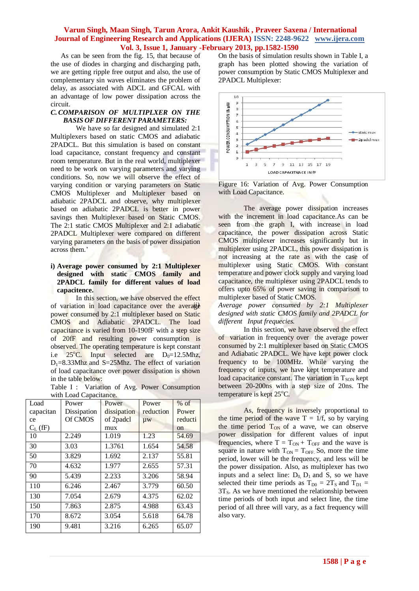As can be seen from the fig. 15, that because of the use of diodes in charging and discharging path, we are getting ripple free output and also, the use of complementary sin waves eliminates the problem of delay, as associated with ADCL and GFCAL with an advantage of low power dissipation across the circuit.

## *C.COMPARISON OF MULTIPLXER ON THE BASIS OF DIFFERENT PARAMETERS:*

We have so far designed and simulated 2:1 Multiplexers based on static CMOS and adiabatic 2PADCL. But this simulation is based on constant load capacitance, constant frequency and constant room temperature. But in the real world, multiplexer need to be work on varying parameters and varying conditions. So, now we will observe the effect of varying condition or varying parameters on Static CMOS Multiplexer and Multiplexer based on adiabatic 2PADCL and observe, why multiplexer based on adiabatic 2PADCL is better in power savings then Multiplexer based on Static CMOS. The 2:1 static CMOS Multiplexer and 2:1 adiabatic 2PADCL Multiplexer were compared on different varying parameters on the basis of power dissipation across them.'

# **i) Average power consumed by 2:1 Multiplexer designed with static CMOS family and 2PADCL family for different values of load capacitence.**

In this section, we have observed the effect of variation in load capacitance over the average power consumed by 2:1 multiplexer based on Static CMOS and Adiabatic 2PADCL. The load capacitance is varied from 10-190fF with a step size of 20fF and resulting power consumption is observed. The operating temperature is kept constant i.e  $25^{\circ}$ C. Input selected are D<sub>0</sub>=12.5Mhz,  $D_1=8.33Mhz$  and S=25Mhz. The effect of variation of load capacitance over power dissipation is shown in the table below:

Table I : Variation of Avg. Power Consumption with Load Capacitance.

| Load         | with Bodd Capacitance.<br>Power | Power       | Power     | $%$ of        |
|--------------|---------------------------------|-------------|-----------|---------------|
| capacitan    | Dissipation                     | dissipation | reduction | Power         |
|              |                                 |             |           |               |
| ce           | Of CMOS                         | of 2padcl   | $\mu$ w   | reducti       |
| $C_{L}$ (fF) |                                 | mux         |           | <sub>on</sub> |
| 10           | 2.249                           | 1.019       | 1.23      | 54.69         |
| 30           | 3.03                            | 1.3761      | 1.654     | 54.58         |
| 50           | 3.829                           | 1.692       | 2.137     | 55.81         |
| 70           | 4.632                           | 1.977       | 2.655     | 57.31         |
| 90           | 5.439                           | 2.233       | 3.206     | 58.94         |
| 110          | 6.246                           | 2.467       | 3.779     | 60.50         |
| 130          | 7.054                           | 2.679       | 4.375     | 62.02         |
| 150          | 7.863                           | 2.875       | 4.988     | 63.43         |
| 170          | 8.672                           | 3.054       | 5.618     | 64.78         |
| 190          | 9.481                           | 3.216       | 6.265     | 65.07         |

On the basis of simulation results shown in Table I, a graph has been plotted showing the variation of power consumption by Static CMOS Multiplexer and 2PADCL Multiplexer:



Figure 16: Variation of Avg. Power Consumption with Load Capacitance.

The average power dissipation increases with the increment in load capacitance. As can be seen from the graph I, with increase in load capacitance, the power dissipation across Static CMOS multiplexer increases significantly but in multiplexer using 2PADCL, this power dissipation is not increasing at the rate as with the case of multiplexer using Static CMOS. With constant temperature and power clock supply and varying load capacitance, the multiplexer using 2PADCL tends to offers upto 65% of power saving in comparison to multiplexer based of Static CMOS.

*ii) Average power consumed by 2:1 Multiplexer designed with static CMOS family and 2PADCL for different Input frequecies.*

In this section, we have observed the effect of variation in frequency over the average power consumed by 2:1 multiplexer based on Static CMOS and Adiabatic 2PADCL. We have kept power clock frequency to be 100MHz. While varying the frequency of inputs, we have kept temperature and load capacitance constant. The variation in  $T_{SON}$  kept between 20-200ns with a step size of 20ns. The temperature is kept  $25^{\circ}$ C.

As, frequency is inversely proportional to the time period of the wave  $T = 1/f$ , so by varying the time period  $T_{ON}$  of a wave, we can observe power dissipation for different values of input frequencies, where  $T = T_{ON} + T_{OFF}$  and the wave is square in nature with  $T_{ON} = T_{OFF}$ . So, more the time period, lower will be the frequency, and less will be the power dissipation. Also, as multiplexer has two inputs and a select line:  $D_0$ ,  $D_1$  and S, so we have selected their time periods as  $T_{D0} = 2T_S$  and  $T_{D1} =$  $3T<sub>S</sub>$ . As we have mentioned the relationship between time periods of both input and select line, the time period of all three will vary, as a fact frequency will also vary.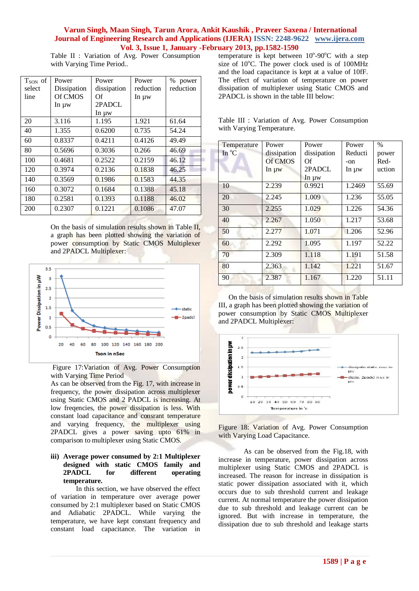m

Table II : Variation of Avg. Power Consumption with Varying Time Period..

| $T_{SON}$ of | Power       | Power       | Power      | % power   |
|--------------|-------------|-------------|------------|-----------|
| select       | Dissipation | dissipation | reduction  | reduction |
| line         | Of CMOS     | Of          | In $\mu w$ |           |
|              | In uw       | 2PADCL      |            |           |
|              |             | In uw       |            |           |
| 20           | 3.116       | 1.195       | 1.921      | 61.64     |
| 40           | 1.355       | 0.6200      | 0.735      | 54.24     |
| 60           | 0.8337      | 0.4211      | 0.4126     | 49.49     |
| 80           | 0.5696      | 0.3036      | 0.266      | 46.69     |
| 100          | 0.4681      | 0.2522      | 0.2159     | 46.12     |
| 120          | 0.3974      | 0.2136      | 0.1838     | 46.25     |
| 140          | 0.3569      | 0.1986      | 0.1583     | 44.35     |
| 160          | 0.3072      | 0.1684      | 0.1388     | 45.18     |
| 180          | 0.2581      | 0.1393      | 0.1188     | 46.02     |
| 200          | 0.2307      | 0.1221      | 0.1086     | 47.07     |

On the basis of simulation results shown in Table II, a graph has been plotted showing the variation of power consumption by Static CMOS Multiplexer and 2PADCL Multiplexer:



Figure 17:Variation of Avg. Power Consumption with Varying Time Period

As can be observed from the Fig. 17, with increase in frequency, the power dissipation across multiplexer using Static CMOS and 2 PADCL is increasing. At low freqencies, the power dissipation is less. With constant load capacitance and consrant temperature and varying frequency, the multiplexer using 2PADCL gives a power saving upto 61% in comparison to multiplexer using Static CMOS.

# **iii) Average power consumed by 2:1 Multiplexer designed with static CMOS family and 2PADCL for different operating temperature.**

In this section, we have observed the effect of variation in temperature over average power consumed by 2:1 multiplexer based on Static CMOS and Adiabatic 2PADCL. While varying the temperature, we have kept constant frequency and constant load capacitance. The variation in

temperature is kept between  $10^{\circ}$ -90 $^{\circ}$ C with a step size of  $10^{\circ}$ C. The power clock used is of 100MHz and the load capacitance is kept at a value of 10fF. The effect of variation of temperature on power dissipation of multiplexer using Static CMOS and 2PADCL is shown in the table III below:

|  |                           |  | Table III : Variation of Avg. Power Consumption |
|--|---------------------------|--|-------------------------------------------------|
|  | with Varying Temperature. |  |                                                 |

| Temperature     | Power       | Power       | Power      | $\frac{0}{0}$ |
|-----------------|-------------|-------------|------------|---------------|
| In $^{\circ}$ C | dissipation | dissipation | Reducti    | power         |
|                 | Of CMOS     | Of          | -on        | Red-          |
|                 | In uw       | 2PADCL      | In $\mu w$ | uction        |
|                 |             | In uw       |            |               |
| 10              | 2.239       | 0.9921      | 1.2469     | 55.69         |
| 20              | 2.245       | 1.009       | 1.236      | 55.05         |
| 30              | 2.255       | 1.029       | 1.226      | 54.36         |
| 40              | 2.267       | 1.050       | 1.217      | 53.68         |
| 50              | 2.277       | 1.071       | 1.206      | 52.96         |
| 60              | 2.292       | 1.095       | 1.197      | 52.22         |
| 70              | 2.309       | 1.118       | 1.191      | 51.58         |
| 80              | 2.363       | 1.142       | 1.221      | 51.67         |
| 90              | 2.387       | 1.167       | 1.220      | 51.11         |

On the basis of simulation results shown in Table III, a graph has been plotted showing the variation of power consumption by Static CMOS Multiplexer and 2PADCL Multiplexer:



Figure 18: Variation of Avg. Power Consumption with Varying Load Capacitance.

As can be observed from the Fig.18, with increase in temperature, power dissipation across multiplexer using Static CMOS and 2PADCL is increased. The reason for increase in dissipation is static power dissipation associated with it, which occurs due to sub threshold current and leakage current. At normal temperature the power dissipation due to sub threshold and leakage current can be ignored. But with increase in temperature, the dissipation due to sub threshold and leakage starts